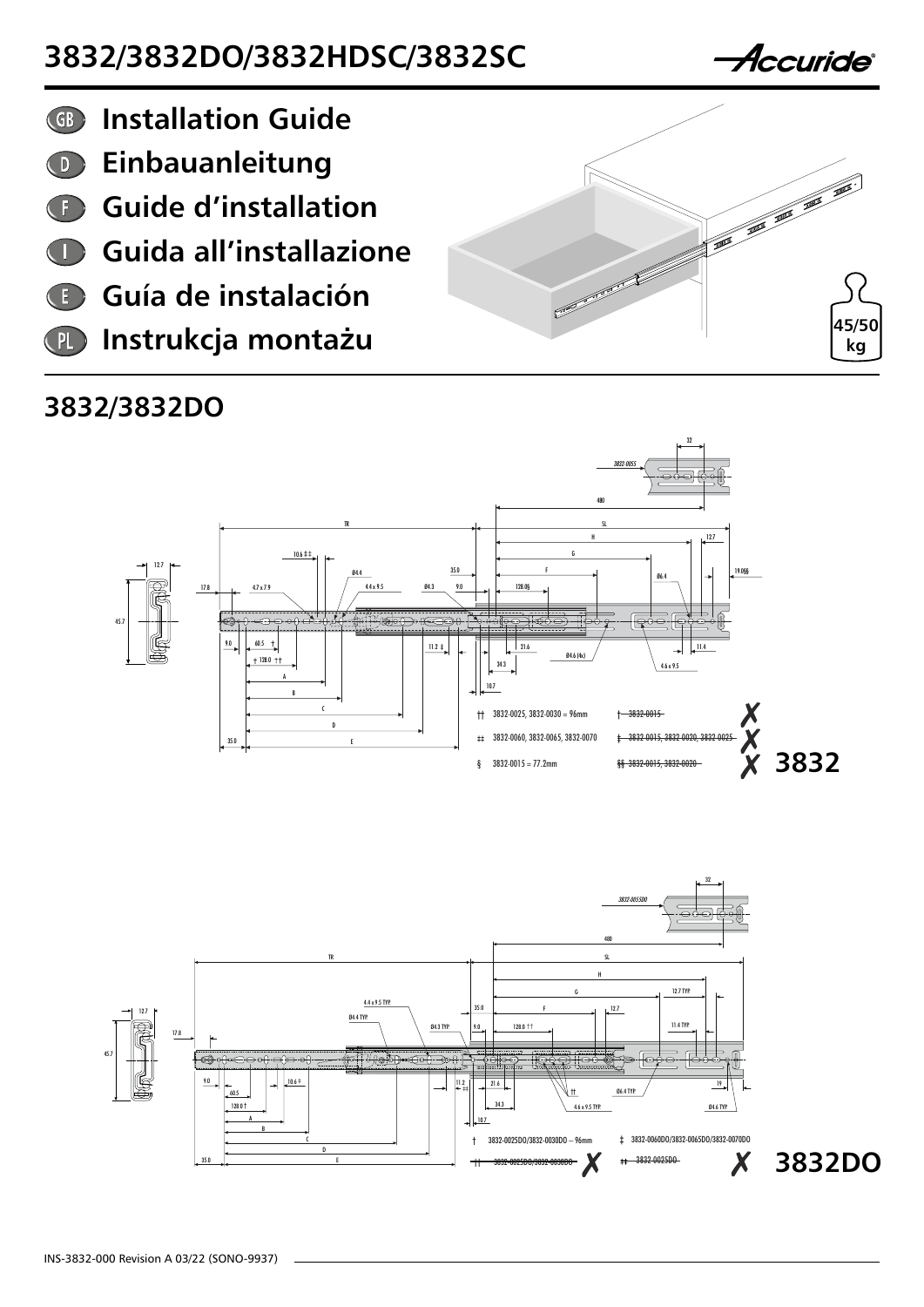

- **Einbauanleitung**  $\bigcirc$
- **Guide d'installation**  $\begin{pmatrix} 1 \end{pmatrix}$
- **Guida all'installazione**  $\begin{pmatrix} 1 \end{pmatrix}$
- **Guía de instalación**
- **Instrukcja monta**ż**u** PL

#### **3832/3832DO**







*Accuride*®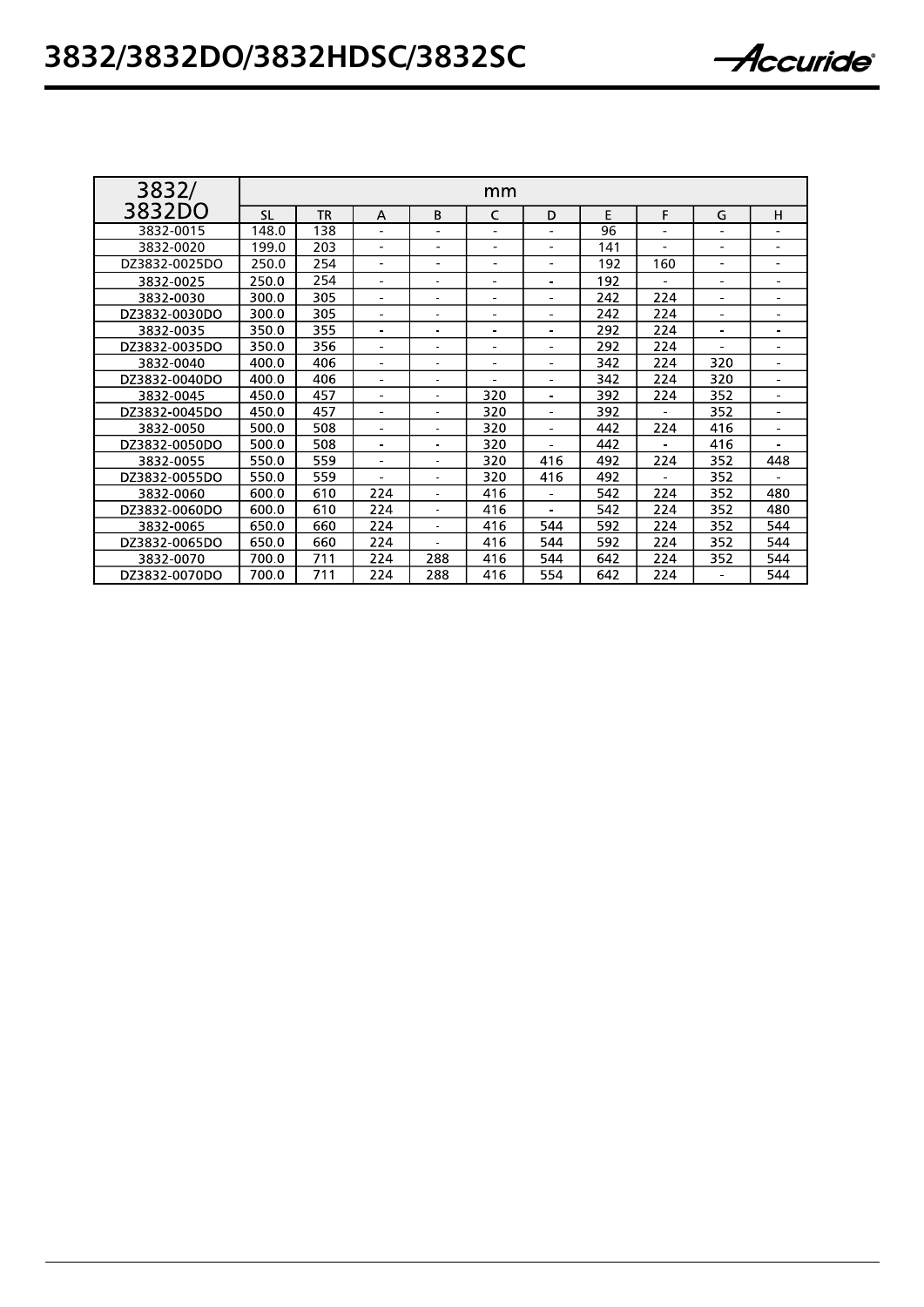| 3832/         | mm        |           |                          |                |                              |     |     |     |                |                          |
|---------------|-----------|-----------|--------------------------|----------------|------------------------------|-----|-----|-----|----------------|--------------------------|
| 3832DO        | <b>SL</b> | <b>TR</b> | A                        | B              | C                            | D   | E   | F   | G              | н                        |
| 3832-0015     | 148.0     | 138       |                          |                |                              |     | 96  |     |                |                          |
| 3832-0020     | 199.0     | 203       | $\overline{\phantom{a}}$ |                | $\qquad \qquad \blacksquare$ |     | 141 |     | $\overline{a}$ |                          |
| DZ3832-0025DO | 250.0     | 254       | $\overline{\phantom{0}}$ |                | $\qquad \qquad \blacksquare$ |     | 192 | 160 | $\overline{a}$ | $\overline{\phantom{a}}$ |
| 3832 0025     | 250.0     | 254       |                          |                |                              |     | 192 |     |                | $\blacksquare$           |
| 3832-0030     | 300.0     | 305       |                          |                |                              |     | 242 | 224 |                |                          |
| DZ3832-0030DO | 300.0     | 305       |                          |                |                              |     | 242 | 224 |                |                          |
| 3832-0035     | 350.0     | 355       |                          |                |                              |     | 292 | 224 |                |                          |
| DZ3832-0035DO | 350.0     | 356       |                          |                |                              |     | 292 | 224 |                |                          |
| 3832-0040     | 400.0     | 406       |                          |                |                              |     | 342 | 224 | 320            |                          |
| DZ3832-0040DO | 400.0     | 406       |                          |                |                              |     | 342 | 224 | 320            |                          |
| 3832-0045     | 450.0     | 457       |                          |                | 320                          |     | 392 | 224 | 352            | $\blacksquare$           |
| DZ3832-0045DO | 450.0     | 457       |                          |                | 320                          |     | 392 |     | 352            |                          |
| 3832-0050     | 500.0     | 508       |                          |                | 320                          |     | 442 | 224 | 416            |                          |
| DZ3832-0050DO | 500.0     | 508       |                          | $\blacksquare$ | 320                          |     | 442 |     | 416            | $\blacksquare$           |
| 3832-0055     | 550.0     | 559       |                          | $\blacksquare$ | 320                          | 416 | 492 | 224 | 352            | 448                      |
| DZ3832-0055DO | 550.0     | 559       |                          |                | 320                          | 416 | 492 |     | 352            |                          |
| 3832-0060     | 600.0     | 610       | 224                      | ÷.             | 416                          |     | 542 | 224 | 352            | 480                      |
| DZ3832-0060DO | 600.0     | 610       | 224                      | ٠              | 416                          |     | 542 | 224 | 352            | 480                      |
| 3832 0065     | 650.0     | 660       | 224                      | ٠              | 416                          | 544 | 592 | 224 | 352            | 544                      |
| DZ3832-0065DO | 650.0     | 660       | 224                      | ÷.             | 416                          | 544 | 592 | 224 | 352            | 544                      |
| 3832-0070     | 700.0     | 711       | 224                      | 288            | 416                          | 544 | 642 | 224 | 352            | 544                      |
| החהדהה ככסכדה | 700 O     | 711       | つつハ                      | 722            | 116                          | 554 | 617 | つつれ |                | 511                      |

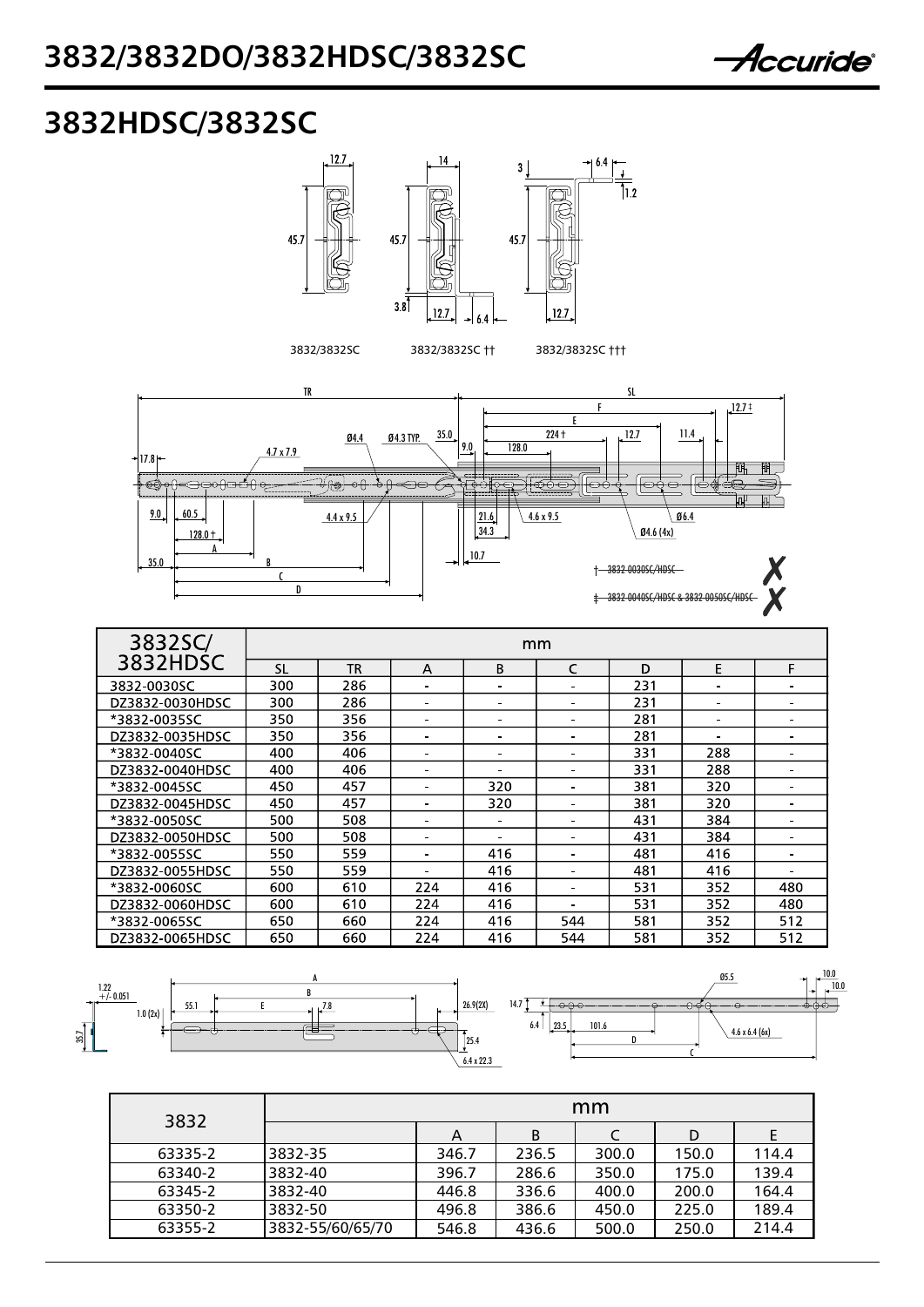

### **3832HDSC/3832SC**





| 3832SC/         | mm        |     |     |     |     |     |     |     |  |
|-----------------|-----------|-----|-----|-----|-----|-----|-----|-----|--|
| 3832HDSC        | <b>SL</b> | ΤR  | А   | B   | C   | D   | Е   | F.  |  |
| 3832-0030SC     | 300       | 286 |     |     |     | 231 |     |     |  |
| DZ3832-0030HDSC | 300       | 286 |     | ۰   |     | 231 |     |     |  |
| *3832-0035SC    | 350       | 356 |     | ۰   |     | 281 |     |     |  |
| DZ3832-0035HDSC | 350       | 356 |     | ۰   |     | 281 |     |     |  |
| *3832-0040SC    | 400       | 406 |     |     |     | 331 | 288 |     |  |
| DZ3832-0040HDSC | 400       | 406 |     |     |     | 331 | 288 |     |  |
| *3832-0045SC    | 450       | 457 |     | 320 |     | 381 | 320 |     |  |
| DZ3832-0045HDSC | 450       | 457 |     | 320 |     | 381 | 320 |     |  |
| *3832-0050SC    | 500       | 508 |     |     |     | 431 | 384 |     |  |
| DZ3832-0050HDSC | 500       | 508 |     |     |     | 431 | 384 |     |  |
| *3832-0055SC    | 550       | 559 |     | 416 |     | 481 | 416 |     |  |
| DZ3832-0055HDSC | 550       | 559 |     | 416 |     | 481 | 416 |     |  |
| *3832-0060SC    | 600       | 610 | 224 | 416 |     | 531 | 352 | 480 |  |
| DZ3832-0060HDSC | 600       | 610 | 224 | 416 |     | 531 | 352 | 480 |  |
| *3832-0065SC    | 650       | 660 | 224 | 416 | 544 | 581 | 352 | 512 |  |
| DZ3832-0065HDSC | 650       | 660 | 224 | 416 | 544 | 581 | 352 | 512 |  |



| 3832    | mm               |       |       |       |       |       |  |  |  |
|---------|------------------|-------|-------|-------|-------|-------|--|--|--|
|         |                  | A     | B     |       | D     |       |  |  |  |
| 63335-2 | 3832-35          | 346.7 | 236.5 | 300.0 | 150.0 | 114.4 |  |  |  |
| 63340-2 | 3832-40          | 396.7 | 286.6 | 350.0 | 175.0 | 139.4 |  |  |  |
| 63345-2 | 3832-40          | 446.8 | 336.6 | 400.0 | 200.0 | 164.4 |  |  |  |
| 63350-2 | 3832-50          | 496.8 | 386.6 | 450.0 | 225.0 | 189.4 |  |  |  |
| 63355-2 | 3832-55/60/65/70 | 546.8 | 436.6 | 500.0 | 250.0 | 214.4 |  |  |  |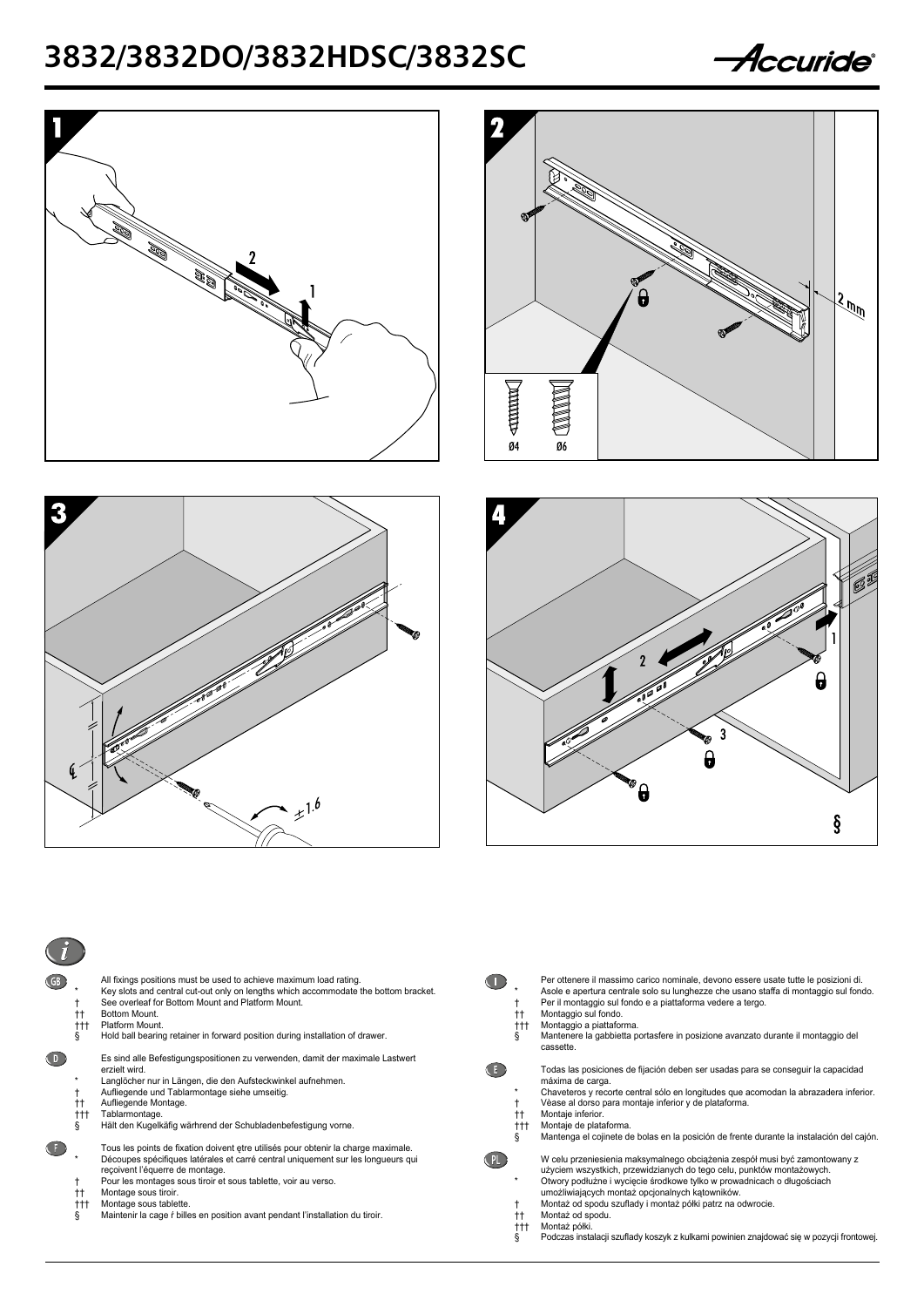









| $^{\dagger\dagger}$<br>ttt.<br>ş                                 | All fixings positions must be used to achieve maximum load rating.<br>Key slots and central cut-out only on lengths which accommodate the bottom bracket.<br>See overleaf for Bottom Mount and Platform Mount.<br>Bottom Mount.<br>Platform Mount.<br>Hold ball bearing retainer in forward position during installation of drawer.                                                                                    |
|------------------------------------------------------------------|------------------------------------------------------------------------------------------------------------------------------------------------------------------------------------------------------------------------------------------------------------------------------------------------------------------------------------------------------------------------------------------------------------------------|
| *<br>t<br>$^{\dagger\dagger}$<br>$^{\dagger\dagger\dagger}$<br>ş | Es sind alle Befestigungspositionen zu verwenden, damit der maximale Lastwert<br>erzielt wird.<br>Langlöcher nur in Längen, die den Aufsteckwinkel aufnehmen.<br>Aufliegende und Tablarmontage siehe umseitig.<br>Aufliegende Montage.<br>Tablarmontage.<br>Hält den Kugelkäfig wärhrend der Schubladenbefestigung vorne.                                                                                              |
| t<br>tt.<br>$^{\dagger\dagger\dagger}$<br>ş                      | Tous les points de fixation doivent etre utilisés pour obtenir la charge maximale.<br>Découpes spécifiques latérales et carré central uniquement sur les longueurs qui<br>recoivent l'équerre de montage.<br>Pour les montages sous tiroir et sous tablette, voir au verso.<br>Montage sous tiroir.<br>Montage sous tablette.<br>Maintenir la cage <i>f</i> billes en position avant pendant l'installation du tiroir. |

| tt.<br>$^{\dagger\dagger\dagger}$<br>ş      | Per ottenere il massimo carico nominale, devono essere usate tutte le posizioni di.<br>Asole e apertura centrale solo su lunghezze che usano staffa di montaggio sul fondo.<br>Per il montaggio sul fondo e a piattaforma vedere a tergo.<br>Montaggio sul fondo.<br>Montaggio a piattaforma.<br>Mantenere la gabbietta portasfere in posizione avanzato durante il montaggio del<br>cassette.   |
|---------------------------------------------|--------------------------------------------------------------------------------------------------------------------------------------------------------------------------------------------------------------------------------------------------------------------------------------------------------------------------------------------------------------------------------------------------|
| t<br>tt.<br>$^{\dagger\dagger\dagger}$<br>ş | Todas las posiciones de fijación deben ser usadas para se conseguir la capacidad<br>máxima de carga.<br>Chaveteros y recorte central sólo en longitudes que acomodan la abrazadera inferior.<br>Vèase al dorso para montaje inferior y de plataforma.<br>Montaje inferior.<br>Montaje de plataforma.<br>Mantenga el cojinete de bolas en la posición de frente durante la instalación del cajón. |
| $\star$<br>t<br>tt.<br>ttt                  | W celu przeniesienia maksymalnego obciążenia zespół musi być zamontowany z<br>użyciem wszystkich, przewidzianych do tego celu, punktów montażowych.<br>Otwory podłużne i wycięcie środkowe tylko w prowadnicach o długościach<br>umożliwiających montaż opcjonalnych kątowników.<br>Montaż od spodu szuflady i montaż półki patrz na odwrocie.<br>Montaż od spodu.<br>Montaż półki.              |

- 
- 
- § Podczas instalacji szuflady koszyk z kulkami powinien znajdować się w pozycji frontowej.